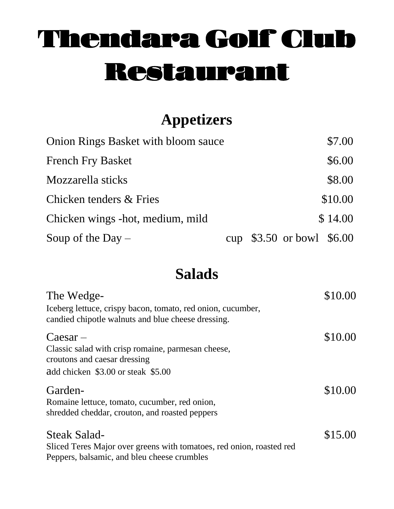# Thendara Golf Club Restaurant

## **Appetizers**

| <b>Onion Rings Basket with bloom sauce</b> |  |                             | \$7.00  |
|--------------------------------------------|--|-----------------------------|---------|
| <b>French Fry Basket</b>                   |  |                             | \$6.00  |
| Mozzarella sticks                          |  |                             | \$8.00  |
| Chicken tenders & Fries                    |  |                             | \$10.00 |
| Chicken wings - hot, medium, mild          |  |                             | \$14.00 |
| Soup of the $Day -$                        |  | cup $$3.50$ or bowl $$6.00$ |         |

#### **Salads**

| The Wedge-                                                           | \$10.00 |
|----------------------------------------------------------------------|---------|
| Iceberg lettuce, crispy bacon, tomato, red onion, cucumber,          |         |
| candied chipotle walnuts and blue cheese dressing.                   |         |
| $Caesar -$                                                           | \$10.00 |
| Classic salad with crisp romaine, parmesan cheese,                   |         |
| croutons and caesar dressing                                         |         |
| add chicken \$3.00 or steak \$5.00                                   |         |
| Garden-                                                              | \$10.00 |
| Romaine lettuce, tomato, cucumber, red onion,                        |         |
| shredded cheddar, crouton, and roasted peppers                       |         |
| <b>Steak Salad-</b>                                                  | \$15.00 |
| Sliced Teres Major over greens with tomatoes, red onion, roasted red |         |
| Peppers, balsamic, and bleu cheese crumbles                          |         |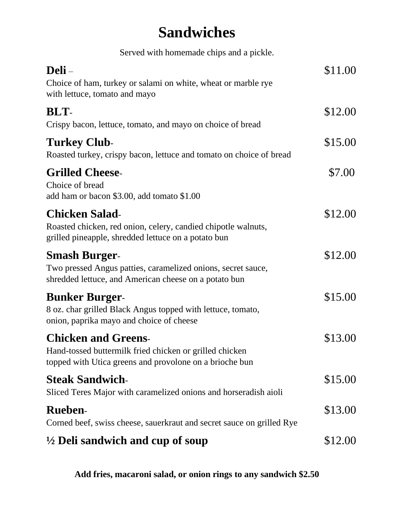## **Sandwiches**

Served with homemade chips and a pickle.

| Deli-<br>Choice of ham, turkey or salami on white, wheat or marble rye<br>with lettuce, tomato and mayo                                          | \$11.00 |
|--------------------------------------------------------------------------------------------------------------------------------------------------|---------|
| <b>BLT-</b><br>Crispy bacon, lettuce, tomato, and mayo on choice of bread                                                                        | \$12.00 |
| <b>Turkey Club-</b><br>Roasted turkey, crispy bacon, lettuce and tomato on choice of bread                                                       | \$15.00 |
| <b>Grilled Cheese-</b><br>Choice of bread<br>add ham or bacon \$3.00, add tomato \$1.00                                                          | \$7.00  |
| <b>Chicken Salad-</b><br>Roasted chicken, red onion, celery, candied chipotle walnuts,<br>grilled pineapple, shredded lettuce on a potato bun    | \$12.00 |
| <b>Smash Burger-</b><br>Two pressed Angus patties, caramelized onions, secret sauce,<br>shredded lettuce, and American cheese on a potato bun    | \$12.00 |
| <b>Bunker Burger-</b><br>8 oz. char grilled Black Angus topped with lettuce, tomato,<br>onion, paprika mayo and choice of cheese                 | \$15.00 |
| <b>Chicken and Greens-</b><br>Hand-tossed buttermilk fried chicken or grilled chicken<br>topped with Utica greens and provolone on a brioche bun | \$13.00 |
| <b>Steak Sandwich-</b><br>Sliced Teres Major with caramelized onions and horseradish aioli                                                       | \$15.00 |
| <b>Rueben-</b><br>Corned beef, swiss cheese, sauerkraut and secret sauce on grilled Rye                                                          | \$13.00 |
| $\frac{1}{2}$ Deli sandwich and cup of soup                                                                                                      | \$12.00 |

**Add fries, macaroni salad, or onion rings to any sandwich \$2.50**